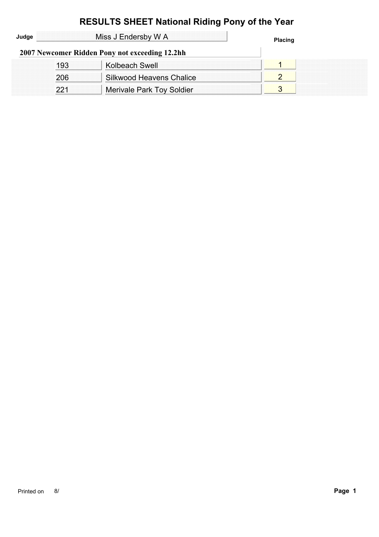|       |     | <b>RESULTS SHEET National Riding Pony of the Year</b> |                |
|-------|-----|-------------------------------------------------------|----------------|
| Judge |     | Miss J Endersby W A                                   | <b>Placing</b> |
|       |     | 2007 Newcomer Ridden Pony not exceeding 12.2hh        |                |
|       | 193 | Kolbeach Swell                                        |                |
|       | 206 | Silkwood Heavens Chalice                              |                |
|       | 221 | <b>Merivale Park Toy Soldier</b>                      | 3              |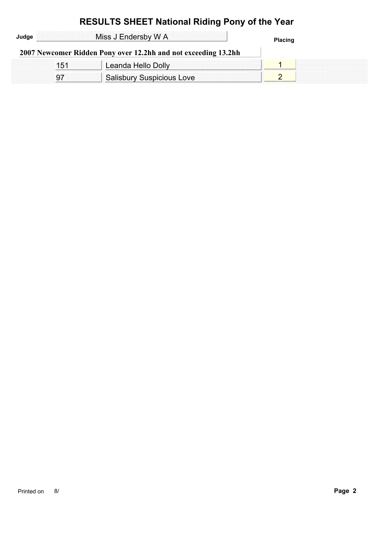| Judge | Miss J Endersby W A |                                                                |  |  |
|-------|---------------------|----------------------------------------------------------------|--|--|
|       |                     | 2007 Newcomer Ridden Pony over 12.2hh and not exceeding 13.2hh |  |  |
|       | 151                 | Leanda Hello Dolly                                             |  |  |
|       |                     | <b>Salisbury Suspicious Love</b>                               |  |  |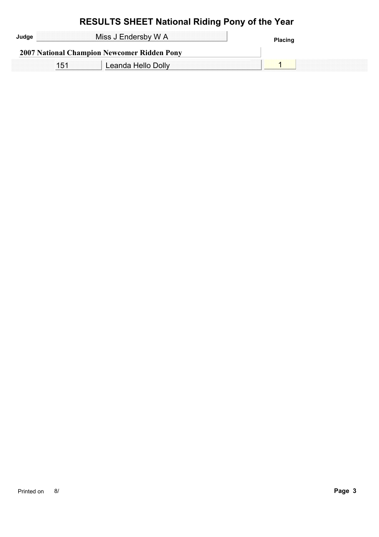| Miss J Endersby W A                         |  |
|---------------------------------------------|--|
| 2007 National Champion Newcomer Ridden Pony |  |
| Leanda Hello Dolly                          |  |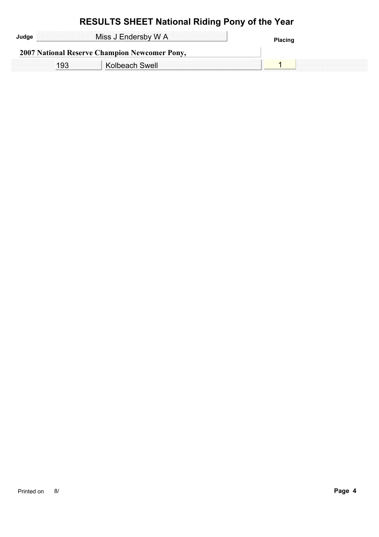| Judae | Miss J Endersby W A                                  | Placing |
|-------|------------------------------------------------------|---------|
|       | <b>2007 National Reserve Champion Newcomer Pony,</b> |         |
|       | Kolbeach Swell                                       |         |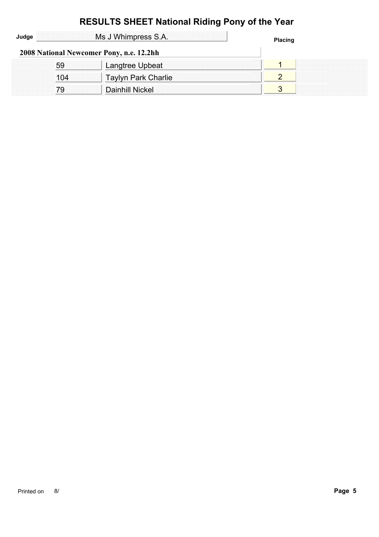| Judge |     | Ms J Whimpress S.A.                      | <b>Placing</b> |
|-------|-----|------------------------------------------|----------------|
|       |     | 2008 National Newcomer Pony, n.e. 12.2hh |                |
|       | 59  | Langtree Upbeat                          |                |
|       | 104 | <b>Taylyn Park Charlie</b>               |                |
|       | 79  | Dainhill Nickel                          |                |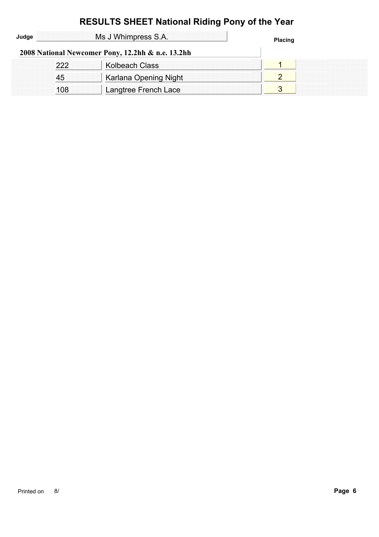|       |     | <b>RESULTS SHEET National Riding Pony of the Year</b> |                |  |
|-------|-----|-------------------------------------------------------|----------------|--|
| Judge |     | Ms J Whimpress S.A.                                   | <b>Placing</b> |  |
|       |     | 2008 National Newcomer Pony, 12.2hh & n.e. 13.2hh     |                |  |
|       | 222 | Kolbeach Class                                        |                |  |
|       | 45  | Karlana Opening Night                                 | 2              |  |
|       | 108 | Langtree French Lace                                  | 3              |  |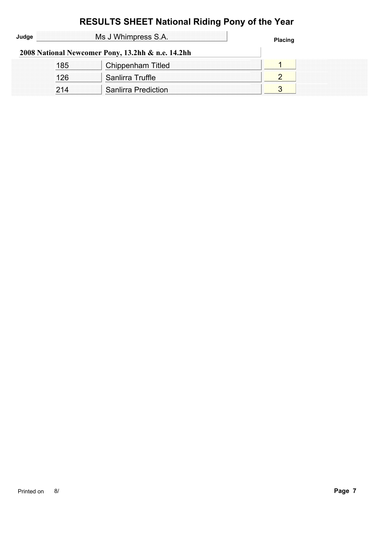|       |     | <b>RESULTS SHEET National Riding Pony of the Year</b> |                |
|-------|-----|-------------------------------------------------------|----------------|
| Judge |     | Ms J Whimpress S.A.                                   | <b>Placing</b> |
|       |     | 2008 National Newcomer Pony, 13.2hh & n.e. 14.2hh     |                |
|       | 185 | Chippenham Titled                                     |                |
|       | 126 | Sanlirra Truffle                                      | 2              |
|       | 214 | <b>Sanlirra Prediction</b>                            | 3              |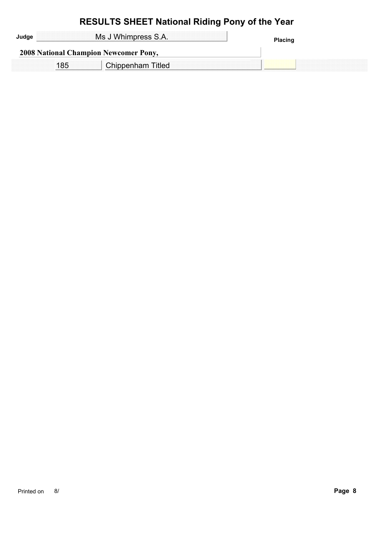| Ms J Whimpress S.A.                          | <b>Placing</b> |
|----------------------------------------------|----------------|
| <b>2008 National Champion Newcomer Pony,</b> |                |
| Chippenham Titled                            |                |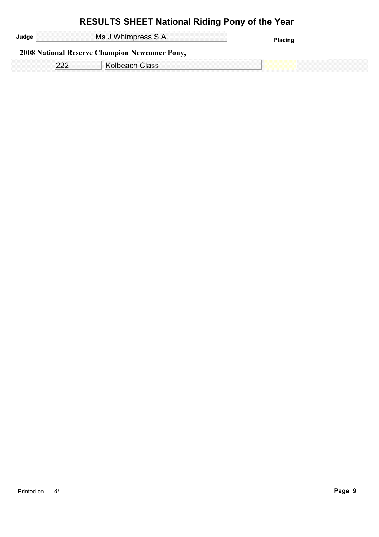| Judge | Ms J Whimpress S.A.                                  | <b>Placing</b> |
|-------|------------------------------------------------------|----------------|
|       | <b>2008 National Reserve Champion Newcomer Pony,</b> |                |
|       | <b>Kolbeach Class</b>                                |                |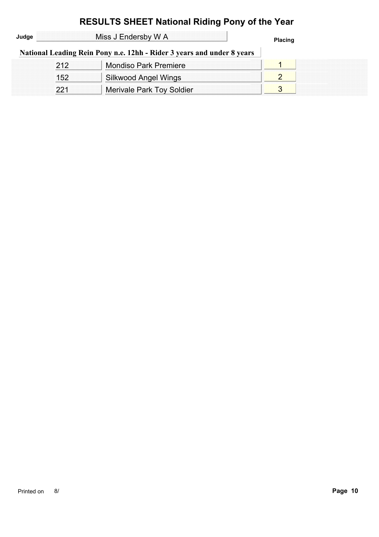| Judge |     | Miss J Endersby W A                                                    | <b>Placing</b> |
|-------|-----|------------------------------------------------------------------------|----------------|
|       |     | National Leading Rein Pony n.e. 12hh - Rider 3 years and under 8 years |                |
|       | 212 | <b>Mondiso Park Premiere</b>                                           |                |
|       | 152 | Silkwood Angel Wings                                                   |                |
|       | 221 | <b>Merivale Park Toy Soldier</b>                                       | 3              |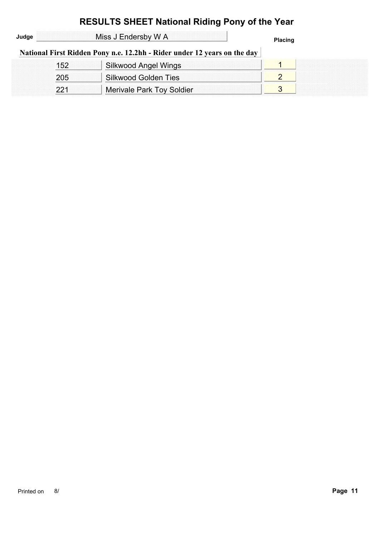| Judge |     | Miss J Endersby W A                                                      | <b>Placing</b> |
|-------|-----|--------------------------------------------------------------------------|----------------|
|       |     | National First Ridden Pony n.e. 12.2hh - Rider under 12 years on the day |                |
|       | 152 | Silkwood Angel Wings                                                     |                |
|       | 205 | Silkwood Golden Ties                                                     |                |
|       | 221 | Merivale Park Toy Soldier                                                |                |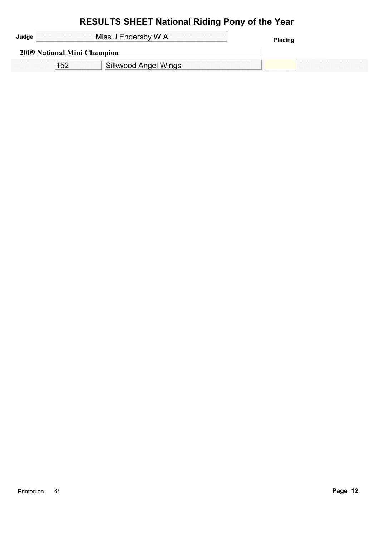|                             | Miss J Endersby W A  | <b>Placing</b> |
|-----------------------------|----------------------|----------------|
| 2009 National Mini Champion |                      |                |
|                             | Silkwood Angel Wings |                |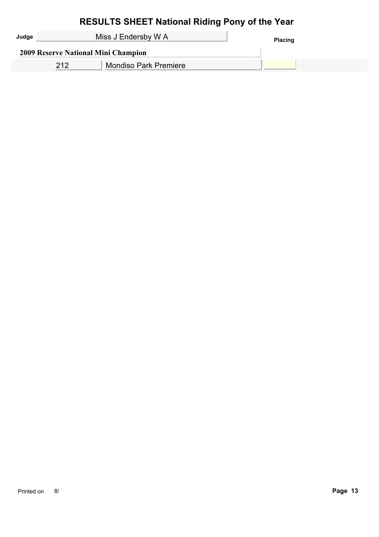| Miss J Endersby W A |                                     |  |
|---------------------|-------------------------------------|--|
|                     | 2009 Reserve National Mini Champion |  |
|                     | <b>Mondiso Park Premiere</b>        |  |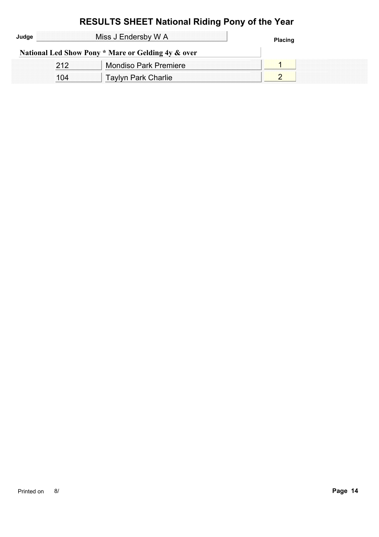| Judge | Miss J Endersby W A |                                                    | <b>Placing</b> |
|-------|---------------------|----------------------------------------------------|----------------|
|       |                     | National Led Show Pony * Mare or Gelding 4y & over |                |
|       |                     | <b>Mondiso Park Premiere</b>                       |                |
|       |                     | <b>Taylyn Park Charlie</b>                         |                |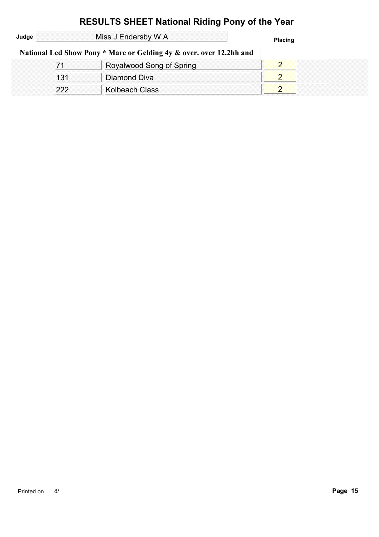| Judge |     | Miss J Endersby W A                                                 | <b>Placing</b> |
|-------|-----|---------------------------------------------------------------------|----------------|
|       |     | National Led Show Pony * Mare or Gelding 4y & over. over 12.2hh and |                |
|       |     | Royalwood Song of Spring                                            |                |
|       | 131 | Diamond Diva                                                        |                |
|       | 222 | Kolbeach Class                                                      |                |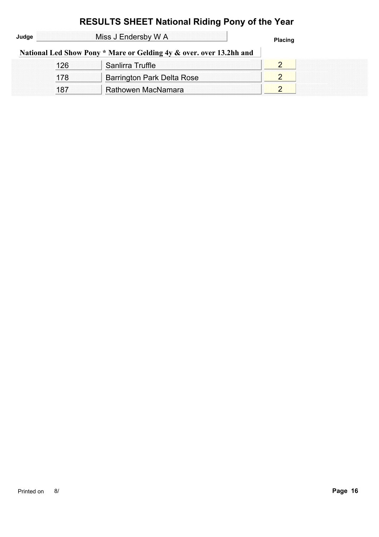| Judge |     | Miss J Endersby W A                                                 | <b>Placing</b> |
|-------|-----|---------------------------------------------------------------------|----------------|
|       |     | National Led Show Pony * Mare or Gelding 4y & over. over 13.2hh and |                |
|       | 126 | Sanlirra Truffle                                                    |                |
|       | 178 | Barrington Park Delta Rose                                          |                |
|       | 187 | Rathowen MacNamara                                                  |                |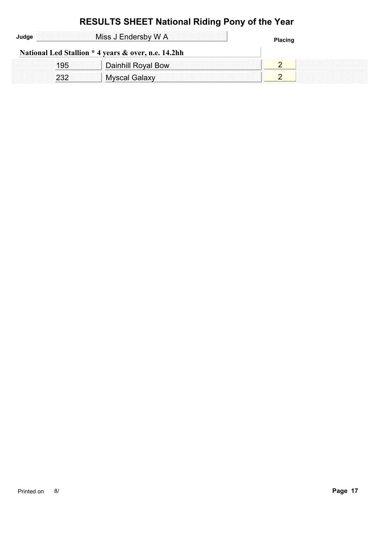#### **RESULTS SHEET National Riding Pony of the Year** Miss J Endersby W A **Placing Judge National Led Stallion \* 4 years & over, n.e. 14.2hh** 195 | Dainhill Royal Bow | 2 232 Myscal Galaxy 232 2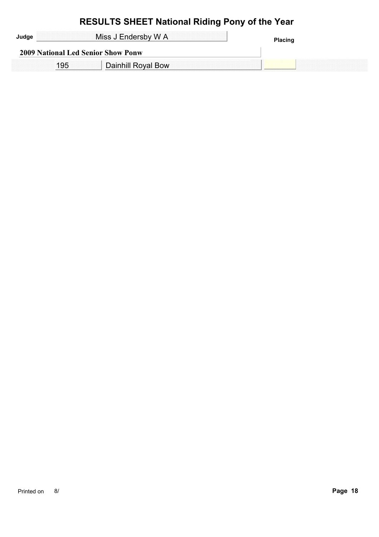| Miss J Endersby W A                       |                    | ગacinເ |
|-------------------------------------------|--------------------|--------|
| <b>2009 National Led Senior Show Ponw</b> |                    |        |
|                                           | Dainhill Royal Bow |        |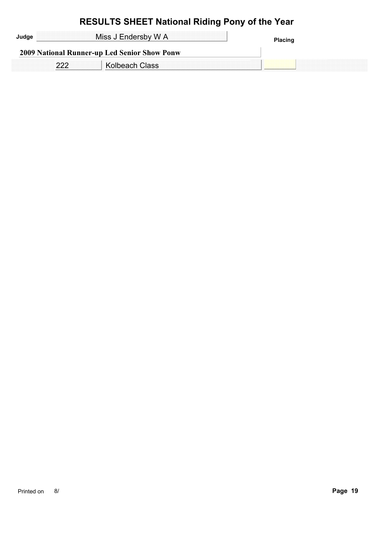| Miss J Endersby W A                                 | <b>Placing</b> |
|-----------------------------------------------------|----------------|
| <b>2009 National Runner-up Led Senior Show Ponw</b> |                |
| <b>Kolbeach Class</b>                               |                |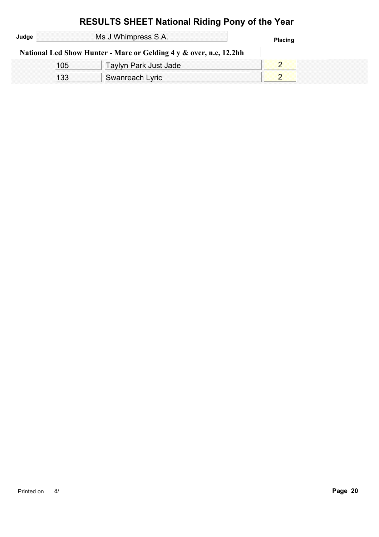#### **RESULTS SHEET National Riding Pony of the Year** Ms J Whimpress S.A. **Placing Judge National Led Show Hunter - Mare or Gelding 4 y & over, n.e, 12.2hh** 105 | Taylyn Park Just Jade | 2 133 Swanreach Lyric 2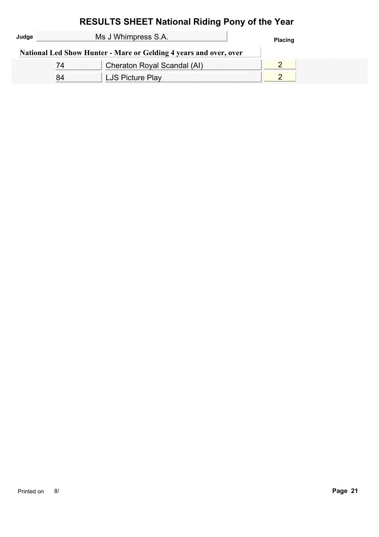| Judge                                                             | Ms J Whimpress S.A.         | <b>Placing</b> |  |
|-------------------------------------------------------------------|-----------------------------|----------------|--|
| National Led Show Hunter - Mare or Gelding 4 years and over, over |                             |                |  |
|                                                                   | Cheraton Royal Scandal (AI) |                |  |
|                                                                   | LJS Picture Play            |                |  |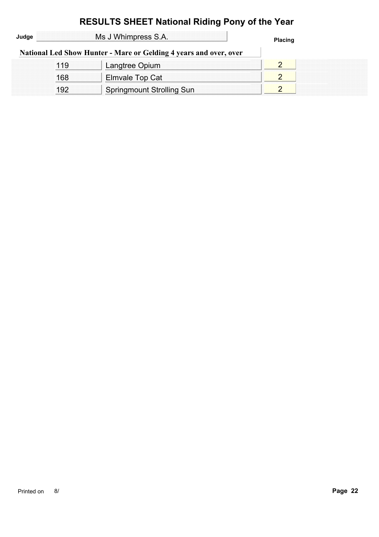| Judge |     | Ms J Whimpress S.A.                                               | <b>Placing</b> |
|-------|-----|-------------------------------------------------------------------|----------------|
|       |     | National Led Show Hunter - Mare or Gelding 4 years and over, over |                |
|       | 119 | Langtree Opium                                                    |                |
|       | 168 | Elmvale Top Cat                                                   |                |
|       | 192 | <b>Springmount Strolling Sun</b>                                  |                |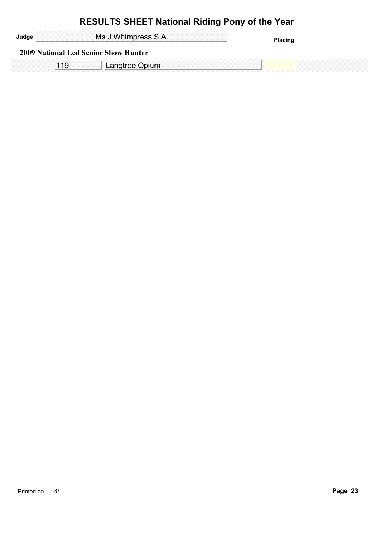| Ms J Whimpress S.A. |                                             | <b>Placing</b> |
|---------------------|---------------------------------------------|----------------|
|                     | <b>2009 National Led Senior Show Hunter</b> |                |
|                     | Langtree Opium                              |                |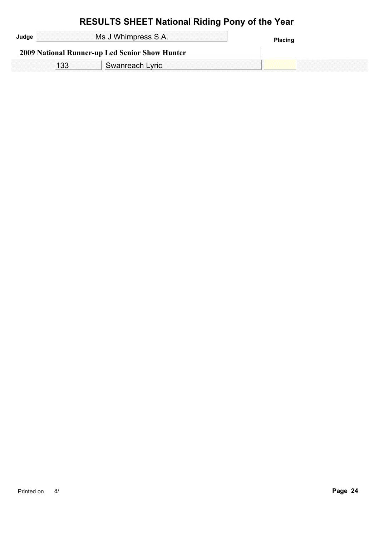| Ms J Whimpress S.A.                            | <b>Placing</b> |
|------------------------------------------------|----------------|
| 2009 National Runner-up Led Senior Show Hunter |                |
| Swanreach Lyric                                |                |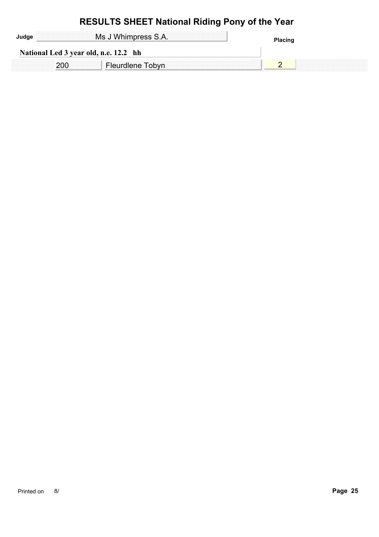| Ms J Whimpress S.A. |                                       | <b>Placing</b> |
|---------------------|---------------------------------------|----------------|
|                     | National Led 3 year old, n.e. 12.2 hh |                |
|                     | Fleurdlene Tobyn                      |                |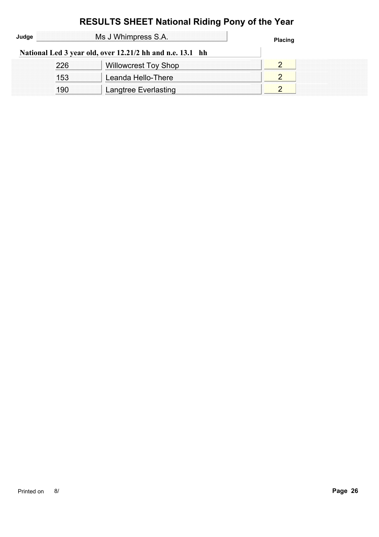|       |     | <b>RESULTS SHEET National Riding Pony of the Year</b>     |                |  |
|-------|-----|-----------------------------------------------------------|----------------|--|
| Judge |     | Ms J Whimpress S.A.                                       | <b>Placing</b> |  |
|       |     | National Led 3 year old, over 12.21/2 hh and n.e. 13.1 hh |                |  |
|       | 226 | <b>Willowcrest Toy Shop</b>                               | $\overline{2}$ |  |
|       | 153 | Leanda Hello-There                                        | $\overline{2}$ |  |
|       | 190 | Langtree Everlasting                                      |                |  |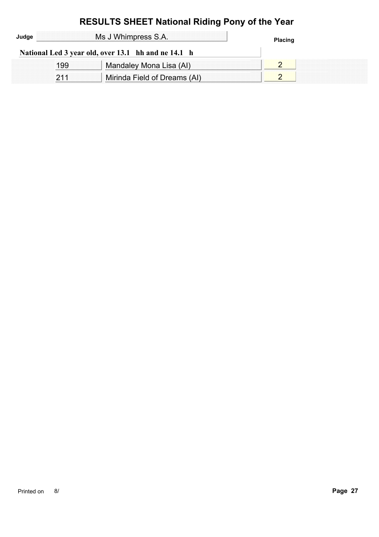# **RESULTS SHEET National Riding Pony of the Year** Ms J Whimpress S.A. **Placing Judge**

| National Led 3 year old, over 13.1 hh and ne 14.1 h |  |
|-----------------------------------------------------|--|
| Mandaley Mona Lisa (AI)                             |  |
| Mirinda Field of Dreams (AI)                        |  |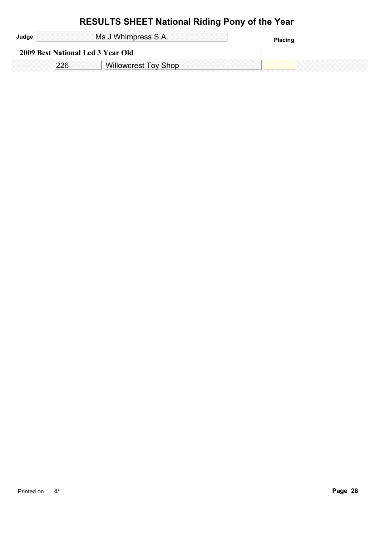|                                   | Ms J Whimpress S.A.<br>Placinq |  |
|-----------------------------------|--------------------------------|--|
| 2009 Best National Led 3 Year Old |                                |  |
|                                   | <b>Willowcrest Toy Shop</b>    |  |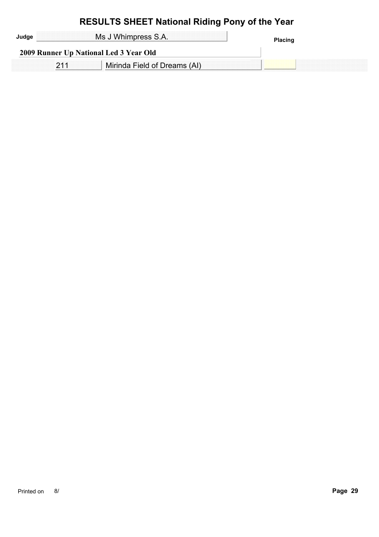| Ms J Whimpress S.A. |                                        | Placing |
|---------------------|----------------------------------------|---------|
|                     | 2009 Runner Up National Led 3 Year Old |         |
|                     | Mirinda Field of Dreams (AI)           |         |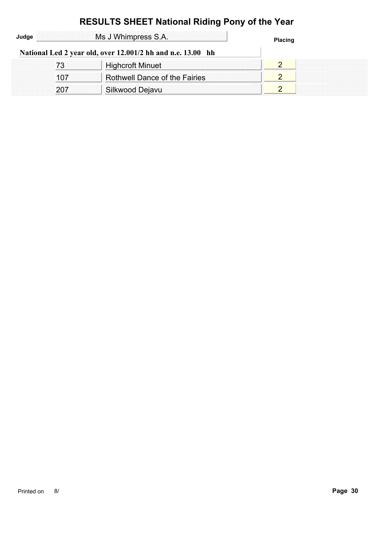|       |     | <b>RESULTS SHEET National Riding Pony of the Year</b>       |                |  |
|-------|-----|-------------------------------------------------------------|----------------|--|
| Judge |     | Ms J Whimpress S.A.                                         | <b>Placing</b> |  |
|       |     | National Led 2 year old, over 12.001/2 hh and n.e. 13.00 hh |                |  |
|       | 73  | <b>Highcroft Minuet</b>                                     | $\overline{2}$ |  |
|       | 107 | <b>Rothwell Dance of the Fairies</b>                        | 2              |  |
|       | 207 | Silkwood Dejavu                                             | $\overline{2}$ |  |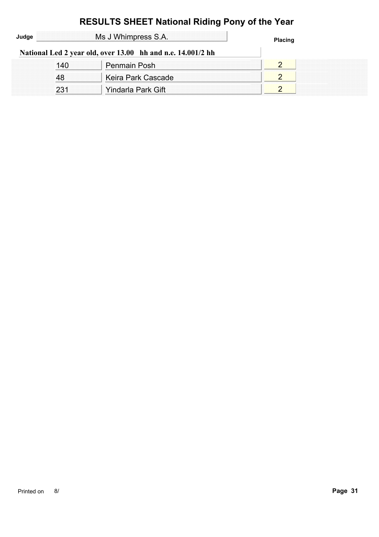|       |     | <b>RESULTS SHEET National Riding Pony of the Year</b>       |                |  |
|-------|-----|-------------------------------------------------------------|----------------|--|
| Judge |     | Ms J Whimpress S.A.                                         | <b>Placing</b> |  |
|       |     | National Led 2 year old, over 13.00 hh and n.e. 14.001/2 hh |                |  |
|       | 140 | <b>Penmain Posh</b>                                         | $\overline{2}$ |  |
|       | 48  | Keira Park Cascade                                          |                |  |
|       | 231 | Yindarla Park Gift                                          | ာ              |  |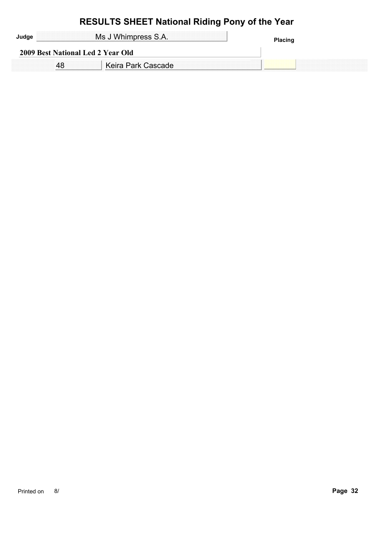| Ms J Whimpress S.A.<br>Placing    |  |
|-----------------------------------|--|
| 2009 Best National Led 2 Year Old |  |
| Keira Park Cascade                |  |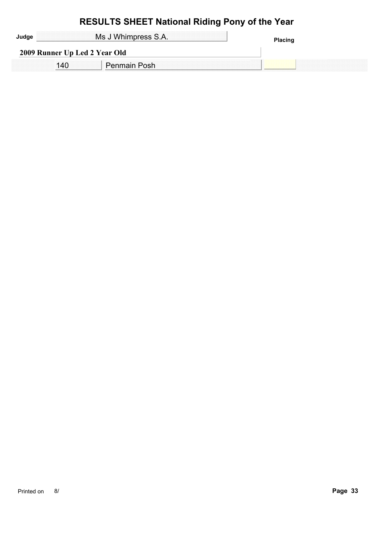|                               | Ms J Whimpress S.A.<br>Placinu |  |
|-------------------------------|--------------------------------|--|
| 2009 Runner Up Led 2 Year Old |                                |  |
|                               | Penmain Posh                   |  |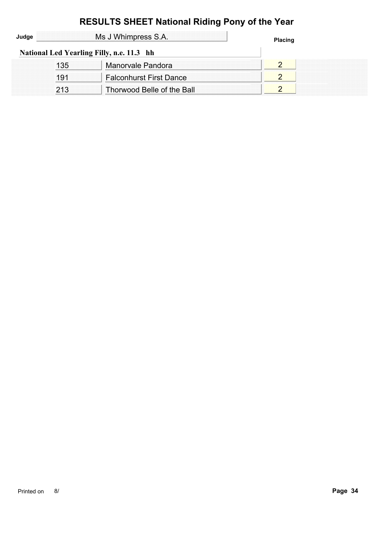| Ms J Whimpress S.A.<br>Judge |     | <b>Placing</b>                            |  |
|------------------------------|-----|-------------------------------------------|--|
|                              |     | National Led Yearling Filly, n.e. 11.3 hh |  |
|                              | 135 | Manorvale Pandora                         |  |
|                              | 191 | <b>Falconhurst First Dance</b>            |  |
|                              | 213 | Thorwood Belle of the Ball                |  |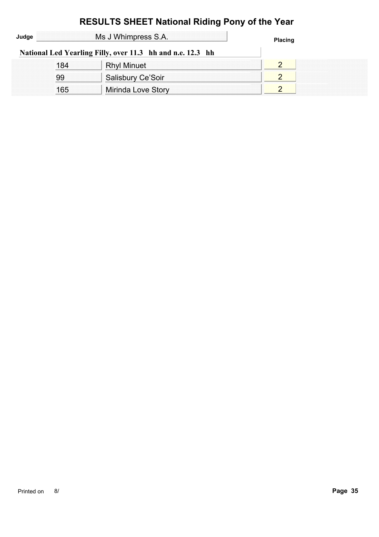|       |     | <b>RESULTS SHEET National Riding Pony of the Year</b>      |                |  |
|-------|-----|------------------------------------------------------------|----------------|--|
| Judge |     | Ms J Whimpress S.A.                                        | <b>Placing</b> |  |
|       |     | National Led Yearling Filly, over 11.3 hh and n.e. 12.3 hh |                |  |
|       | 184 | <b>Rhyl Minuet</b>                                         | 2              |  |
|       | 99  | Salisbury Ce'Soir                                          | 2              |  |
|       | 165 | Mirinda Love Story                                         | $\overline{2}$ |  |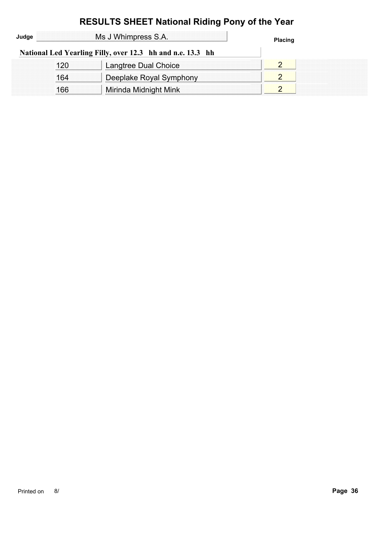|       |     | <b>RESULTS SHEET National Riding Pony of the Year</b>      |                |  |
|-------|-----|------------------------------------------------------------|----------------|--|
| Judge |     | Ms J Whimpress S.A.                                        | <b>Placing</b> |  |
|       |     | National Led Yearling Filly, over 12.3 hh and n.e. 13.3 hh |                |  |
|       | 120 | Langtree Dual Choice                                       | 2              |  |
|       | 164 | Deeplake Royal Symphony                                    | $\overline{2}$ |  |
|       | 166 | Mirinda Midnight Mink                                      | $\overline{2}$ |  |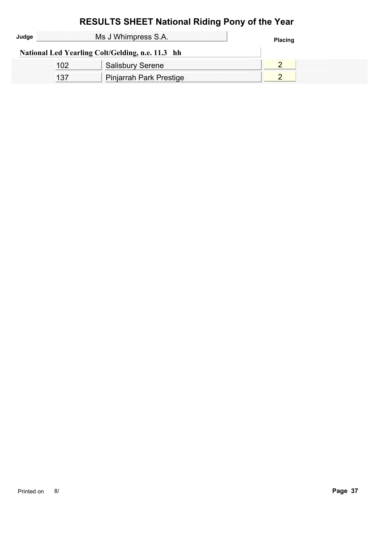| Judge | Ms J Whimpress S.A.                              | <b>Placing</b> |
|-------|--------------------------------------------------|----------------|
|       | National Led Yearling Colt/Gelding, n.e. 11.3 hh |                |
|       | <b>Salisbury Serene</b>                          |                |
|       | Pinjarrah Park Prestige                          |                |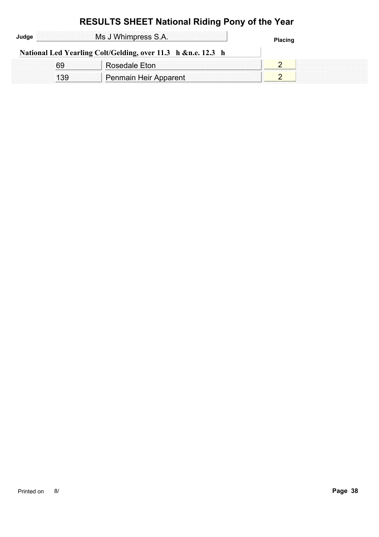|       |     | <b>RESULTS SHEET National Riding Pony of the Year</b>        |                |
|-------|-----|--------------------------------------------------------------|----------------|
| Judge |     | Ms J Whimpress S.A.                                          | <b>Placing</b> |
|       |     | National Led Yearling Colt/Gelding, over 11.3 h &n.e. 12.3 h |                |
|       | 69  | Rosedale Eton                                                |                |
|       | 139 | Penmain Heir Apparent                                        |                |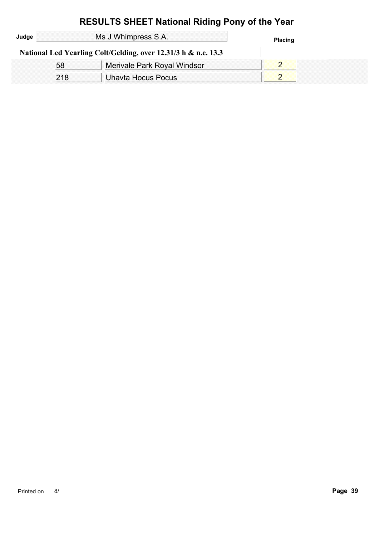| Judge | Ms J Whimpress S.A. |                                                                | <b>Placing</b> |
|-------|---------------------|----------------------------------------------------------------|----------------|
|       |                     | National Led Yearling Colt/Gelding, over 12.31/3 h & n.e. 13.3 |                |
|       | .58                 | Merivale Park Royal Windsor                                    |                |
|       | 218                 | Uhavta Hocus Pocus                                             |                |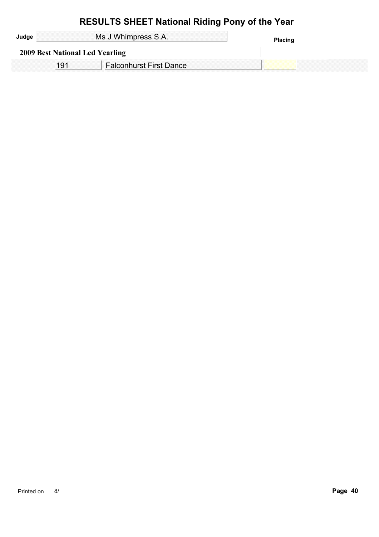| Ms J Whimpress S.A.             | <b>Placing</b> |
|---------------------------------|----------------|
| 2009 Best National Led Yearling |                |
| <b>Falconhurst First Dance</b>  |                |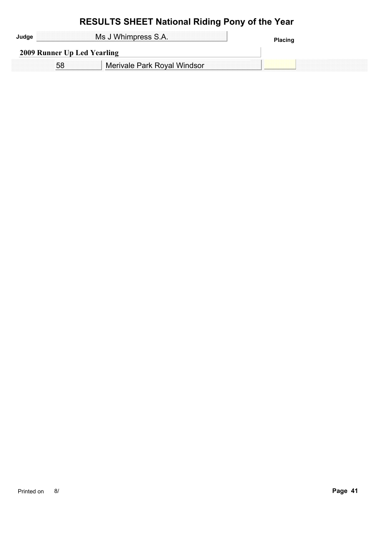|                             | Ms J Whimpress S.A.         | Placino |
|-----------------------------|-----------------------------|---------|
| 2009 Runner Up Led Yearling |                             |         |
|                             | Merivale Park Royal Windsor |         |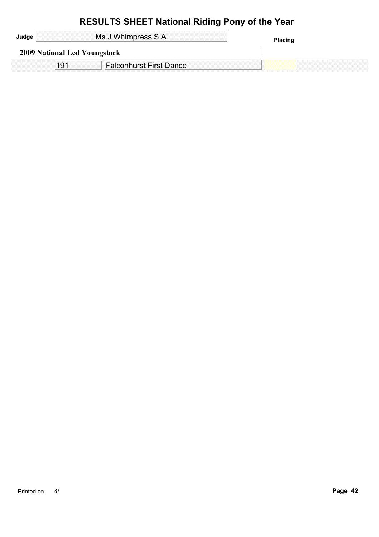|                              | Ms J Whimpress S.A.            | <b>Placing</b> |
|------------------------------|--------------------------------|----------------|
| 2009 National Led Youngstock |                                |                |
|                              | <b>Falconhurst First Dance</b> |                |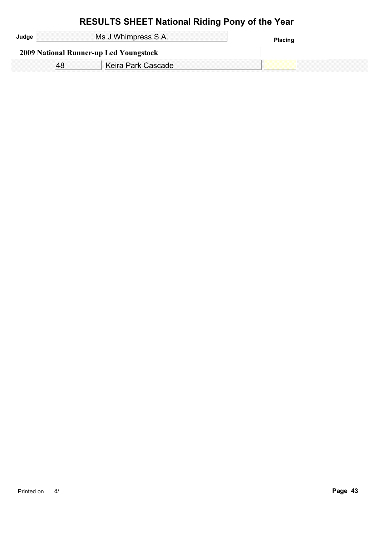| Ms J Whimpress S.A.<br><b>Placing</b><br>2009 National Runner-up Led Youngstock |  |
|---------------------------------------------------------------------------------|--|
|                                                                                 |  |
| Keira Park Cascade                                                              |  |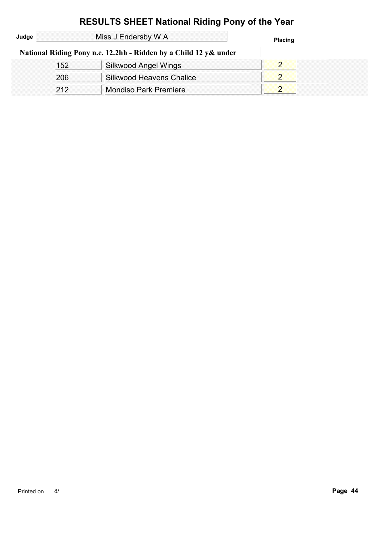|       |     | <b>RESULTS SHEET National Riding Pony of the Year</b>            |                |  |
|-------|-----|------------------------------------------------------------------|----------------|--|
| Judge |     | Miss J Endersby W A                                              | <b>Placing</b> |  |
|       |     | National Riding Pony n.e. 12.2hh - Ridden by a Child 12 y& under |                |  |
|       | 152 | <b>Silkwood Angel Wings</b>                                      | $\overline{2}$ |  |
|       | 206 | <b>Silkwood Heavens Chalice</b>                                  | $\overline{2}$ |  |
|       | 212 | <b>Mondiso Park Premiere</b>                                     |                |  |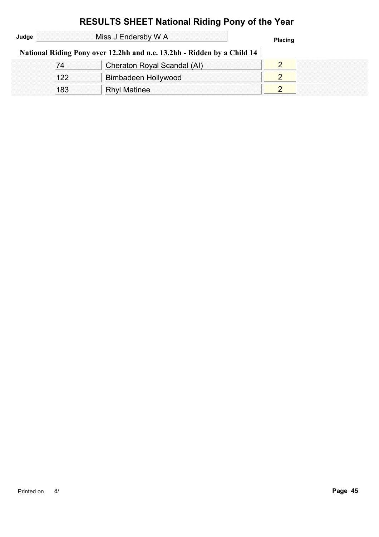| Judge |     | Miss J Endersby W A                                                     | <b>Placing</b> |
|-------|-----|-------------------------------------------------------------------------|----------------|
|       |     | National Riding Pony over 12.2hh and n.e. 13.2hh - Ridden by a Child 14 |                |
|       | 74  | Cheraton Royal Scandal (AI)                                             |                |
|       | 122 | Bimbadeen Hollywood                                                     |                |
|       | 183 | <b>Rhyl Matinee</b>                                                     |                |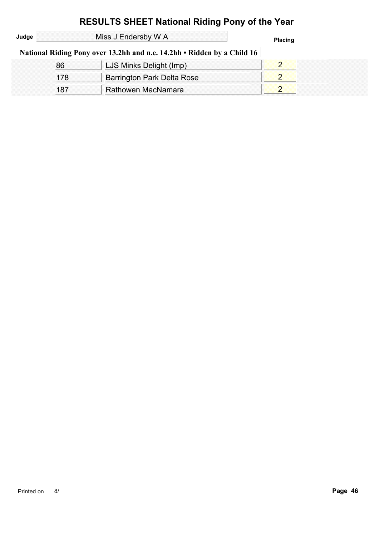| Judge |     | Miss J Endersby W A                                                     | <b>Placing</b> |
|-------|-----|-------------------------------------------------------------------------|----------------|
|       |     | National Riding Pony over 13.2hh and n.e. 14.2hh • Ridden by a Child 16 |                |
|       | 86  | LJS Minks Delight (Imp)                                                 |                |
|       | 178 | Barrington Park Delta Rose                                              |                |
|       | 187 | Rathowen MacNamara                                                      |                |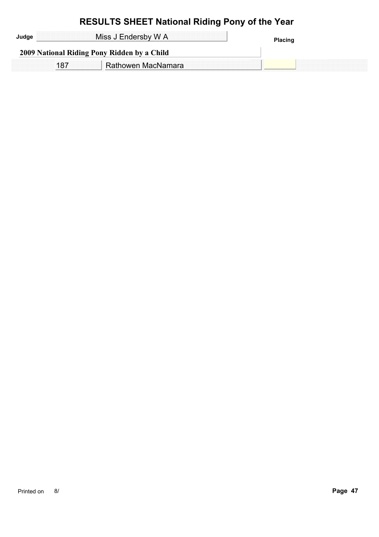| Miss J Endersby W A                         | <b>Placing</b> |
|---------------------------------------------|----------------|
| 2009 National Riding Pony Ridden by a Child |                |
| Rathowen MacNamara                          |                |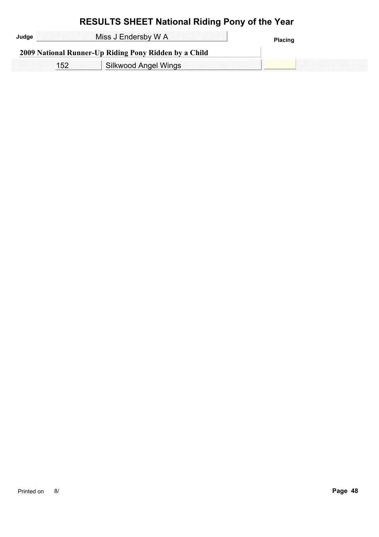| Judge | Miss J Endersby W A                                   | Placing |
|-------|-------------------------------------------------------|---------|
|       | 2009 National Runner-Up Riding Pony Ridden by a Child |         |
|       | <b>Silkwood Angel Wings</b>                           |         |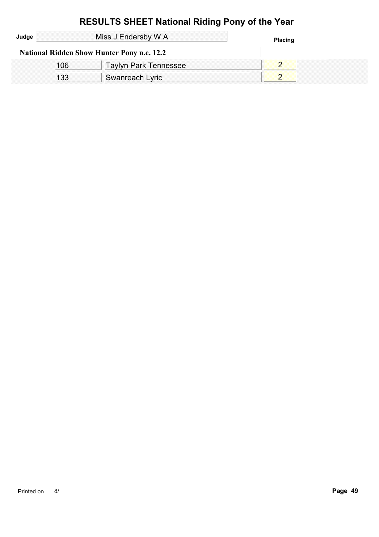| Judge | Miss J Endersby W A                               | <b>Placing</b> |
|-------|---------------------------------------------------|----------------|
|       | <b>National Ridden Show Hunter Pony n.e. 12.2</b> |                |
| 106   | <b>Taylyn Park Tennessee</b>                      |                |
| 133   | Swanreach Lyric                                   |                |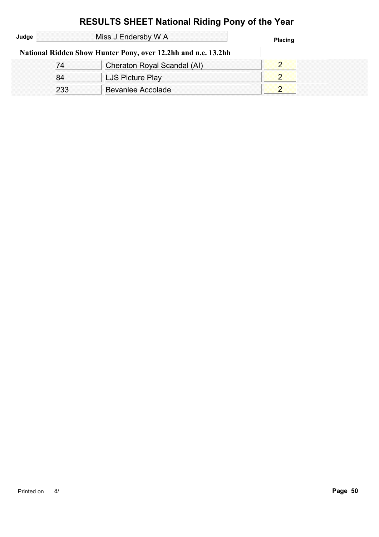|       |     | <b>RESULTS SHEET National Riding Pony of the Year</b>         |                |  |
|-------|-----|---------------------------------------------------------------|----------------|--|
| Judge |     | Miss J Endersby W A                                           | <b>Placing</b> |  |
|       |     | National Ridden Show Hunter Pony, over 12.2hh and n.e. 13.2hh |                |  |
|       | 74  | Cheraton Royal Scandal (AI)                                   |                |  |
|       | 84  | LJS Picture Play                                              |                |  |
|       | 233 | <b>Bevanlee Accolade</b>                                      | 2              |  |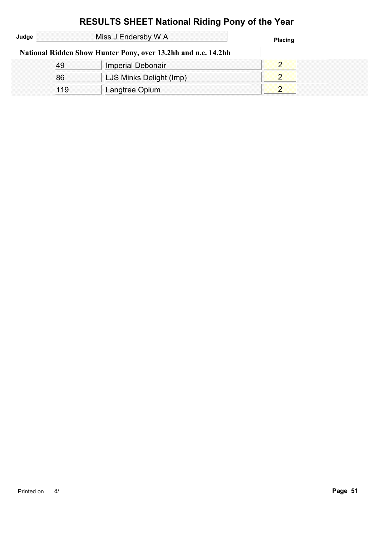|       |     | <b>RESULTS SHEET National Riding Pony of the Year</b>         |                |  |
|-------|-----|---------------------------------------------------------------|----------------|--|
| Judge |     | Miss J Endersby W A                                           | <b>Placing</b> |  |
|       |     | National Ridden Show Hunter Pony, over 13.2hh and n.e. 14.2hh |                |  |
|       | 49  | <b>Imperial Debonair</b>                                      | $\overline{2}$ |  |
|       | 86  | LJS Minks Delight (Imp)                                       | $\overline{2}$ |  |
|       | 119 | Langtree Opium                                                | $\overline{2}$ |  |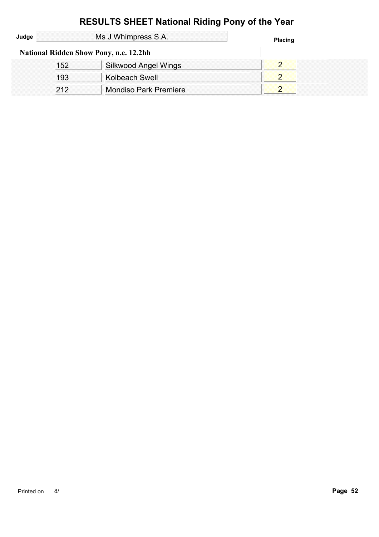| Judge | Ms J Whimpress S.A. |                                               | <b>Placing</b> |  |
|-------|---------------------|-----------------------------------------------|----------------|--|
|       |                     | <b>National Ridden Show Pony, n.e. 12.2hh</b> |                |  |
|       | 152                 | Silkwood Angel Wings                          |                |  |
|       | 193                 | Kolbeach Swell                                |                |  |
|       | 212                 | <b>Mondiso Park Premiere</b>                  |                |  |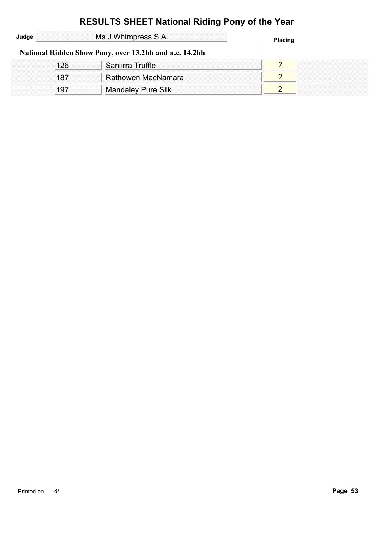| <b>RESULTS SHEET National Riding Pony of the Year</b> |     |                                                        |                |  |  |
|-------------------------------------------------------|-----|--------------------------------------------------------|----------------|--|--|
| Judge                                                 |     | Ms J Whimpress S.A.                                    | <b>Placing</b> |  |  |
|                                                       |     | National Ridden Show Pony, over 13.2hh and n.e. 14.2hh |                |  |  |
|                                                       | 126 | Sanlirra Truffle                                       | 2              |  |  |
|                                                       | 187 | Rathowen MacNamara                                     | 2              |  |  |
|                                                       | 197 | <b>Mandaley Pure Silk</b>                              | $\overline{2}$ |  |  |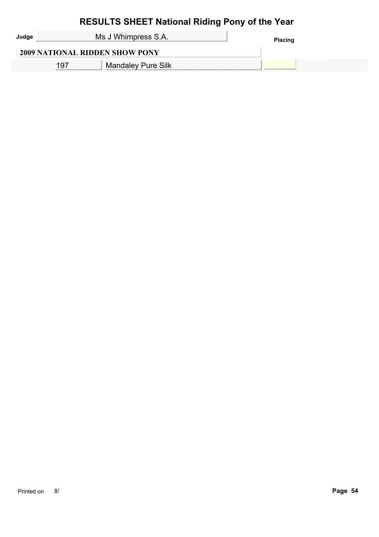| Ms J Whimpress S.A.                   | Placing |
|---------------------------------------|---------|
| <b>2009 NATIONAL RIDDEN SHOW PONY</b> |         |
| <sup>1</sup> Mandaley Pure Silk       |         |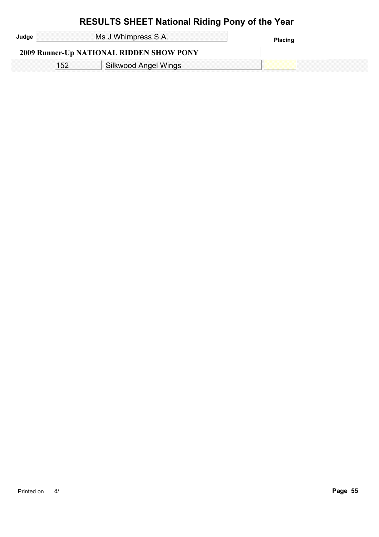| Ms J Whimpress S.A.                             | <b>Placing</b> |
|-------------------------------------------------|----------------|
| <b>2009 Runner-Up NATIONAL RIDDEN SHOW PONY</b> |                |
| <b>Silkwood Angel Wings</b>                     |                |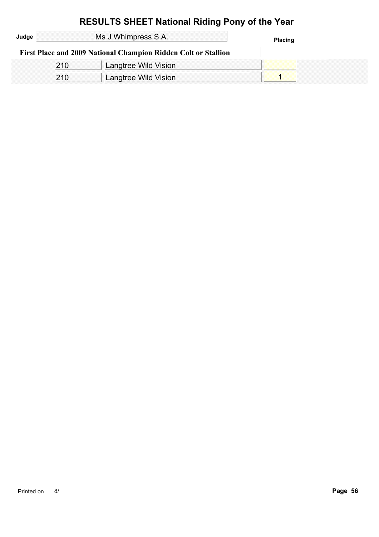| Judge |     | Ms J Whimpress S.A.                                            | <b>Placing</b> |  |
|-------|-----|----------------------------------------------------------------|----------------|--|
|       |     | First Place and 2009 National Champion Ridden Colt or Stallion |                |  |
|       | 210 | Langtree Wild Vision                                           |                |  |
|       | 210 | Langtree Wild Vision                                           |                |  |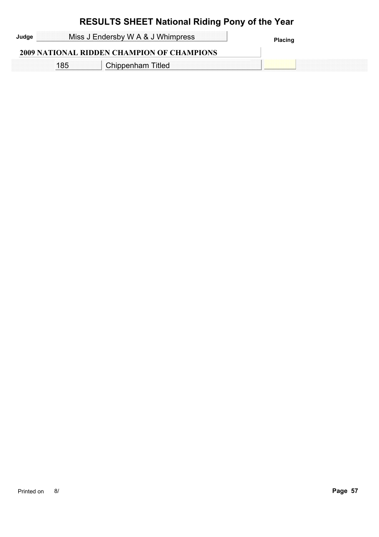| Judge | Miss J Endersby W A & J Whimpress                 | <b>Placing</b> |
|-------|---------------------------------------------------|----------------|
|       | <b>2009 NATIONAL RIDDEN CHAMPION OF CHAMPIONS</b> |                |
|       | Chippenham Titled                                 |                |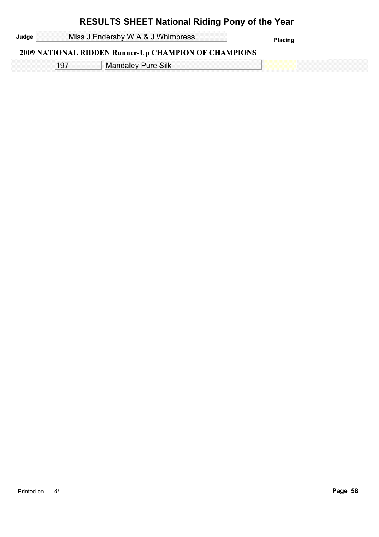Judge **Miss J Endersby W A & J Whimpress Placing Placing** 

#### **2009 NATIONAL RIDDEN Runner-Up CHAMPION OF CHAMPIONS**

197 | Mandaley Pure Silk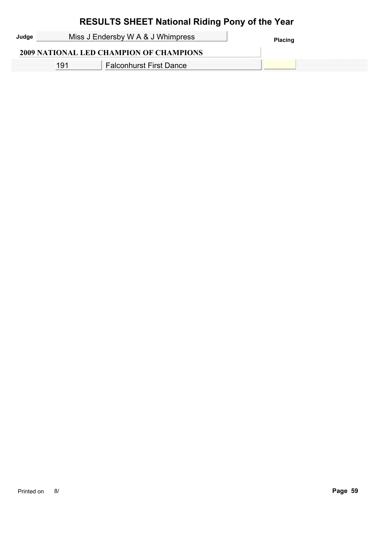| Miss J Endersby W A & J Whimpress<br>Judge |  |                                                | <b>Placing</b> |
|--------------------------------------------|--|------------------------------------------------|----------------|
|                                            |  | <b>2009 NATIONAL LED CHAMPION OF CHAMPIONS</b> |                |
|                                            |  | <b>Falconhurst First Dance</b>                 |                |